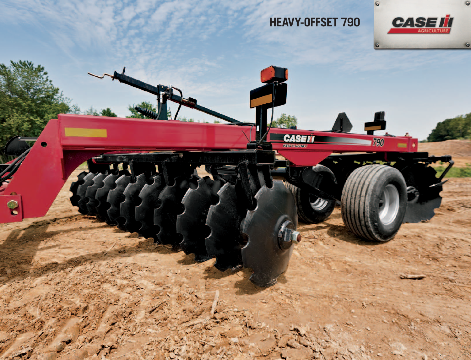

**CASEIT** 

R

П



G

 $\overline{G}$ 

Ą

790